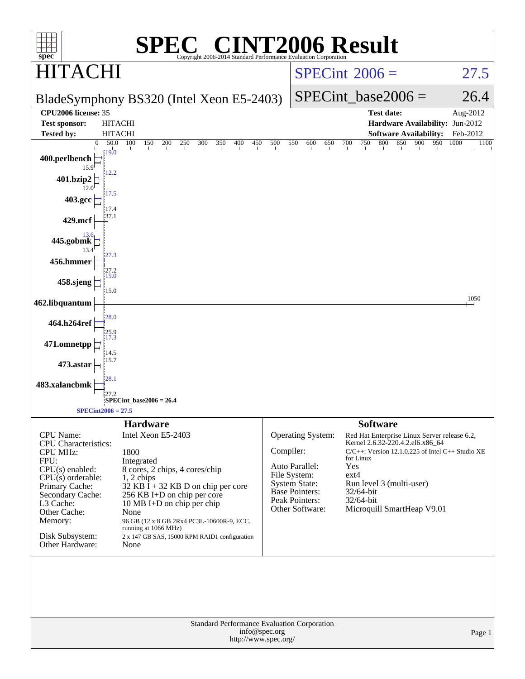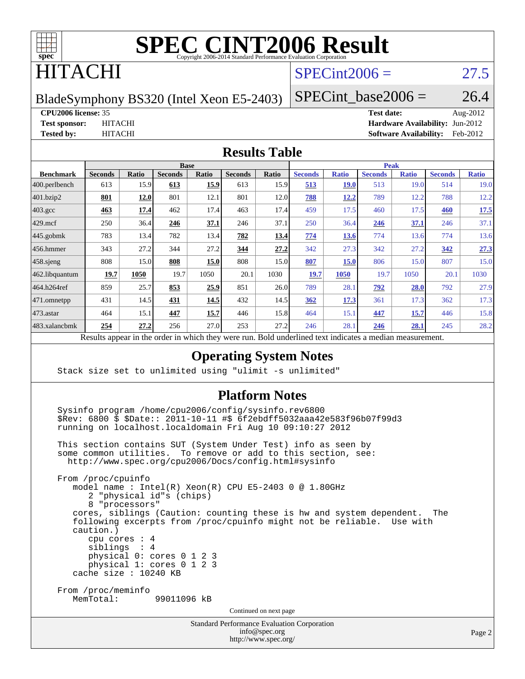

## ITACHI

#### $SPECint2006 = 27.5$  $SPECint2006 = 27.5$

BladeSymphony BS320 (Intel Xeon E5-2403)

SPECint base2006 =  $26.4$ 

#### **[CPU2006 license:](http://www.spec.org/auto/cpu2006/Docs/result-fields.html#CPU2006license)** 35 **[Test date:](http://www.spec.org/auto/cpu2006/Docs/result-fields.html#Testdate)** Aug-2012

**[Test sponsor:](http://www.spec.org/auto/cpu2006/Docs/result-fields.html#Testsponsor)** HITACHI **[Hardware Availability:](http://www.spec.org/auto/cpu2006/Docs/result-fields.html#HardwareAvailability)** Jun-2012 **[Tested by:](http://www.spec.org/auto/cpu2006/Docs/result-fields.html#Testedby)** HITACHI **[Software Availability:](http://www.spec.org/auto/cpu2006/Docs/result-fields.html#SoftwareAvailability)** Feb-2012

#### **[Results Table](http://www.spec.org/auto/cpu2006/Docs/result-fields.html#ResultsTable)**

|                    | <b>Base</b>    |              |                |       |                | <b>Peak</b> |                      |              |                |              |                |              |
|--------------------|----------------|--------------|----------------|-------|----------------|-------------|----------------------|--------------|----------------|--------------|----------------|--------------|
| <b>Benchmark</b>   | <b>Seconds</b> | <b>Ratio</b> | <b>Seconds</b> | Ratio | <b>Seconds</b> | Ratio       | <b>Seconds</b>       | <b>Ratio</b> | <b>Seconds</b> | <b>Ratio</b> | <b>Seconds</b> | <b>Ratio</b> |
| $ 400$ .perlbench  | 613            | 15.9         | 613            | 15.9  | 613            | 15.9        | 513                  | <b>19.0</b>  | 513            | 19.0         | 514            | 19.0         |
| 401.bzip2          | 801            | 12.0         | 801            | 12.1  | 801            | 12.0        | 788                  | 12.2         | 789            | 12.2         | 788            | 12.2         |
| $403.\mathrm{gcc}$ | 463            | 17.4         | 462            | 17.4  | 463            | 17.4        | 459                  | 17.5         | 460            | 17.5         | 460            | 17.5         |
| $429$ .mcf         | 250            | 36.4         | 246            | 37.1  | 246            | 37.1        | 250                  | 36.4         | 246            | <u>37.1</u>  | 246            | 37.1         |
| $445$ .gobmk       | 783            | 13.4         | 782            | 13.4  | 782            | 13.4        | 774                  | 13.6         | 774            | 13.6         | 774            | 13.6         |
| 456.hmmer          | 343            | 27.2         | 344            | 27.2  | 344            | 27.2        | 342                  | 27.3         | 342            | 27.2         | 342            | 27.3         |
| $458$ .sjeng       | 808            | 15.0         | 808            | 15.0  | 808            | 15.0        | 807                  | 15.0         | 806            | 15.0         | 807            | 15.0         |
| 462.libquantum     | 19.7           | 1050         | 19.7           | 1050  | 20.1           | 1030        | 19.7                 | 1050         | 19.7           | 1050         | 20.1           | 1030         |
| 464.h264ref        | 859            | 25.7         | 853            | 25.9  | 851            | 26.0        | 789                  | 28.1         | 792            | 28.0         | 792            | 27.9         |
| 471.omnetpp        | 431            | 14.5         | 431            | 14.5  | 432            | 14.5        | 362                  | 17.3         | 361            | 17.3         | 362            | 17.3         |
| $473.$ astar       | 464            | 15.1         | 447            | 15.7  | 446            | 15.8        | 464                  | 15.1         | 447            | 15.7         | 446            | 15.8         |
| 483.xalancbmk      | 254            | 27.2         | 256            | 27.0  | 253            | 27.2        | 246                  | 28.1         | 246            | 28.1         | 245            | 28.2         |
| n.                 | $\mathbf{1}$   | $\cdot$ . 1  |                | 1.1.1 |                | $n$ 11      | 1.1.1<br>$1 \quad 1$ | $\mathbf{1}$ |                |              |                |              |

Results appear in the [order in which they were run.](http://www.spec.org/auto/cpu2006/Docs/result-fields.html#RunOrder) Bold underlined text [indicates a median measurement.](http://www.spec.org/auto/cpu2006/Docs/result-fields.html#Median)

#### **[Operating System Notes](http://www.spec.org/auto/cpu2006/Docs/result-fields.html#OperatingSystemNotes)**

Stack size set to unlimited using "ulimit -s unlimited"

#### **[Platform Notes](http://www.spec.org/auto/cpu2006/Docs/result-fields.html#PlatformNotes)**

 Sysinfo program /home/cpu2006/config/sysinfo.rev6800 \$Rev: 6800 \$ \$Date:: 2011-10-11 #\$ 6f2ebdff5032aaa42e583f96b07f99d3 running on localhost.localdomain Fri Aug 10 09:10:27 2012

 This section contains SUT (System Under Test) info as seen by some common utilities. To remove or add to this section, see: <http://www.spec.org/cpu2006/Docs/config.html#sysinfo>

 From /proc/cpuinfo model name : Intel(R) Xeon(R) CPU E5-2403 0 @ 1.80GHz 2 "physical id"s (chips) 8 "processors" cores, siblings (Caution: counting these is hw and system dependent. The following excerpts from /proc/cpuinfo might not be reliable. Use with caution.) cpu cores : 4 siblings : 4 physical 0: cores 0 1 2 3 physical 1: cores 0 1 2 3 cache size : 10240 KB From /proc/meminfo<br>MemTotal: 99011096 kB Continued on next page

> Standard Performance Evaluation Corporation [info@spec.org](mailto:info@spec.org) <http://www.spec.org/>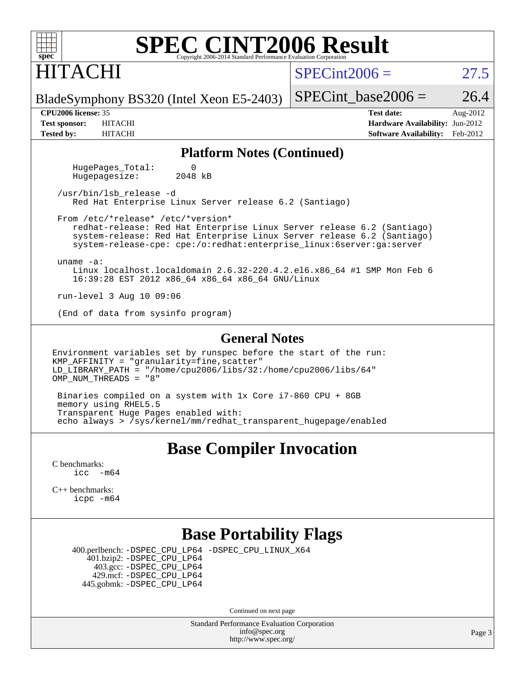## HITACHI

 $SPECint2006 = 27.5$  $SPECint2006 = 27.5$ 

BladeSymphony BS320 (Intel Xeon E5-2403)

**[Tested by:](http://www.spec.org/auto/cpu2006/Docs/result-fields.html#Testedby)** HITACHI **[Software Availability:](http://www.spec.org/auto/cpu2006/Docs/result-fields.html#SoftwareAvailability)** Feb-2012

**[CPU2006 license:](http://www.spec.org/auto/cpu2006/Docs/result-fields.html#CPU2006license)** 35 **[Test date:](http://www.spec.org/auto/cpu2006/Docs/result-fields.html#Testdate)** Aug-2012 **[Test sponsor:](http://www.spec.org/auto/cpu2006/Docs/result-fields.html#Testsponsor)** HITACHI **[Hardware Availability:](http://www.spec.org/auto/cpu2006/Docs/result-fields.html#HardwareAvailability)** Jun-2012

SPECint base2006 =  $26.4$ 

#### **[Platform Notes \(Continued\)](http://www.spec.org/auto/cpu2006/Docs/result-fields.html#PlatformNotes)**

HugePages\_Total: 0<br>Hugepagesize: 2048 kB Hugepagesize:

 /usr/bin/lsb\_release -d Red Hat Enterprise Linux Server release 6.2 (Santiago)

 From /etc/\*release\* /etc/\*version\* redhat-release: Red Hat Enterprise Linux Server release 6.2 (Santiago) system-release: Red Hat Enterprise Linux Server release 6.2 (Santiago) system-release-cpe: cpe:/o:redhat:enterprise\_linux:6server:ga:server

uname -a:

 Linux localhost.localdomain 2.6.32-220.4.2.el6.x86\_64 #1 SMP Mon Feb 6 16:39:28 EST 2012 x86\_64 x86\_64 x86\_64 GNU/Linux

run-level 3 Aug 10 09:06

(End of data from sysinfo program)

#### **[General Notes](http://www.spec.org/auto/cpu2006/Docs/result-fields.html#GeneralNotes)**

Environment variables set by runspec before the start of the run: KMP\_AFFINITY = "granularity=fine,scatter" LD\_LIBRARY\_PATH = "/home/cpu2006/libs/32:/home/cpu2006/libs/64" OMP\_NUM\_THREADS = "8"

 Binaries compiled on a system with 1x Core i7-860 CPU + 8GB memory using RHEL5.5 Transparent Huge Pages enabled with: echo always > /sys/kernel/mm/redhat\_transparent\_hugepage/enabled

#### **[Base Compiler Invocation](http://www.spec.org/auto/cpu2006/Docs/result-fields.html#BaseCompilerInvocation)**

[C benchmarks](http://www.spec.org/auto/cpu2006/Docs/result-fields.html#Cbenchmarks):  $\text{icc}$   $-\text{m64}$ 

[C++ benchmarks:](http://www.spec.org/auto/cpu2006/Docs/result-fields.html#CXXbenchmarks) [icpc -m64](http://www.spec.org/cpu2006/results/res2012q3/cpu2006-20120813-24211.flags.html#user_CXXbase_intel_icpc_64bit_fc66a5337ce925472a5c54ad6a0de310)

#### **[Base Portability Flags](http://www.spec.org/auto/cpu2006/Docs/result-fields.html#BasePortabilityFlags)**

 400.perlbench: [-DSPEC\\_CPU\\_LP64](http://www.spec.org/cpu2006/results/res2012q3/cpu2006-20120813-24211.flags.html#b400.perlbench_basePORTABILITY_DSPEC_CPU_LP64) [-DSPEC\\_CPU\\_LINUX\\_X64](http://www.spec.org/cpu2006/results/res2012q3/cpu2006-20120813-24211.flags.html#b400.perlbench_baseCPORTABILITY_DSPEC_CPU_LINUX_X64) 401.bzip2: [-DSPEC\\_CPU\\_LP64](http://www.spec.org/cpu2006/results/res2012q3/cpu2006-20120813-24211.flags.html#suite_basePORTABILITY401_bzip2_DSPEC_CPU_LP64) 403.gcc: [-DSPEC\\_CPU\\_LP64](http://www.spec.org/cpu2006/results/res2012q3/cpu2006-20120813-24211.flags.html#suite_basePORTABILITY403_gcc_DSPEC_CPU_LP64) 429.mcf: [-DSPEC\\_CPU\\_LP64](http://www.spec.org/cpu2006/results/res2012q3/cpu2006-20120813-24211.flags.html#suite_basePORTABILITY429_mcf_DSPEC_CPU_LP64) 445.gobmk: [-DSPEC\\_CPU\\_LP64](http://www.spec.org/cpu2006/results/res2012q3/cpu2006-20120813-24211.flags.html#suite_basePORTABILITY445_gobmk_DSPEC_CPU_LP64)

Continued on next page

Standard Performance Evaluation Corporation [info@spec.org](mailto:info@spec.org) <http://www.spec.org/>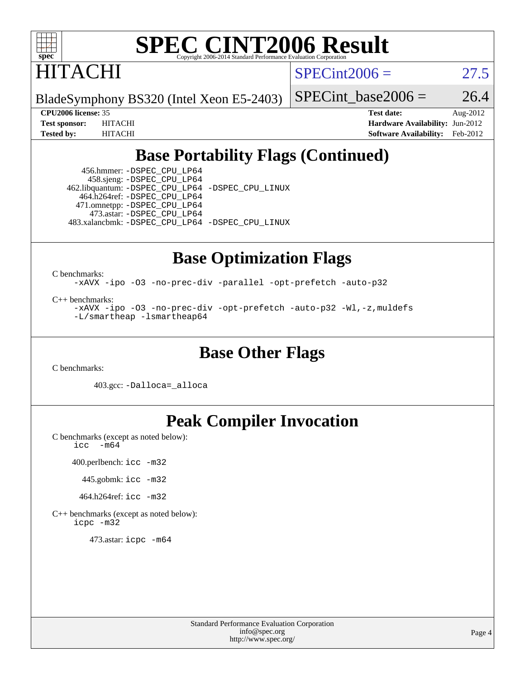

HITACHI

 $SPECint2006 = 27.5$  $SPECint2006 = 27.5$ 

BladeSymphony BS320 (Intel Xeon E5-2403)

SPECint base2006 =  $26.4$ 

**[CPU2006 license:](http://www.spec.org/auto/cpu2006/Docs/result-fields.html#CPU2006license)** 35 **[Test date:](http://www.spec.org/auto/cpu2006/Docs/result-fields.html#Testdate)** Aug-2012 **[Test sponsor:](http://www.spec.org/auto/cpu2006/Docs/result-fields.html#Testsponsor)** HITACHI **[Hardware Availability:](http://www.spec.org/auto/cpu2006/Docs/result-fields.html#HardwareAvailability)** Jun-2012 **[Tested by:](http://www.spec.org/auto/cpu2006/Docs/result-fields.html#Testedby)** HITACHI **[Software Availability:](http://www.spec.org/auto/cpu2006/Docs/result-fields.html#SoftwareAvailability)** Feb-2012

### **[Base Portability Flags \(Continued\)](http://www.spec.org/auto/cpu2006/Docs/result-fields.html#BasePortabilityFlags)**

 456.hmmer: [-DSPEC\\_CPU\\_LP64](http://www.spec.org/cpu2006/results/res2012q3/cpu2006-20120813-24211.flags.html#suite_basePORTABILITY456_hmmer_DSPEC_CPU_LP64) 458.sjeng: [-DSPEC\\_CPU\\_LP64](http://www.spec.org/cpu2006/results/res2012q3/cpu2006-20120813-24211.flags.html#suite_basePORTABILITY458_sjeng_DSPEC_CPU_LP64) 462.libquantum: [-DSPEC\\_CPU\\_LP64](http://www.spec.org/cpu2006/results/res2012q3/cpu2006-20120813-24211.flags.html#suite_basePORTABILITY462_libquantum_DSPEC_CPU_LP64) [-DSPEC\\_CPU\\_LINUX](http://www.spec.org/cpu2006/results/res2012q3/cpu2006-20120813-24211.flags.html#b462.libquantum_baseCPORTABILITY_DSPEC_CPU_LINUX) 464.h264ref: [-DSPEC\\_CPU\\_LP64](http://www.spec.org/cpu2006/results/res2012q3/cpu2006-20120813-24211.flags.html#suite_basePORTABILITY464_h264ref_DSPEC_CPU_LP64) 471.omnetpp: [-DSPEC\\_CPU\\_LP64](http://www.spec.org/cpu2006/results/res2012q3/cpu2006-20120813-24211.flags.html#suite_basePORTABILITY471_omnetpp_DSPEC_CPU_LP64) 473.astar: [-DSPEC\\_CPU\\_LP64](http://www.spec.org/cpu2006/results/res2012q3/cpu2006-20120813-24211.flags.html#suite_basePORTABILITY473_astar_DSPEC_CPU_LP64) 483.xalancbmk: [-DSPEC\\_CPU\\_LP64](http://www.spec.org/cpu2006/results/res2012q3/cpu2006-20120813-24211.flags.html#suite_basePORTABILITY483_xalancbmk_DSPEC_CPU_LP64) [-DSPEC\\_CPU\\_LINUX](http://www.spec.org/cpu2006/results/res2012q3/cpu2006-20120813-24211.flags.html#b483.xalancbmk_baseCXXPORTABILITY_DSPEC_CPU_LINUX)

#### **[Base Optimization Flags](http://www.spec.org/auto/cpu2006/Docs/result-fields.html#BaseOptimizationFlags)**

[C benchmarks](http://www.spec.org/auto/cpu2006/Docs/result-fields.html#Cbenchmarks):

[-xAVX](http://www.spec.org/cpu2006/results/res2012q3/cpu2006-20120813-24211.flags.html#user_CCbase_f-xAVX) [-ipo](http://www.spec.org/cpu2006/results/res2012q3/cpu2006-20120813-24211.flags.html#user_CCbase_f-ipo) [-O3](http://www.spec.org/cpu2006/results/res2012q3/cpu2006-20120813-24211.flags.html#user_CCbase_f-O3) [-no-prec-div](http://www.spec.org/cpu2006/results/res2012q3/cpu2006-20120813-24211.flags.html#user_CCbase_f-no-prec-div) [-parallel](http://www.spec.org/cpu2006/results/res2012q3/cpu2006-20120813-24211.flags.html#user_CCbase_f-parallel) [-opt-prefetch](http://www.spec.org/cpu2006/results/res2012q3/cpu2006-20120813-24211.flags.html#user_CCbase_f-opt-prefetch) [-auto-p32](http://www.spec.org/cpu2006/results/res2012q3/cpu2006-20120813-24211.flags.html#user_CCbase_f-auto-p32)

[C++ benchmarks:](http://www.spec.org/auto/cpu2006/Docs/result-fields.html#CXXbenchmarks)

[-xAVX](http://www.spec.org/cpu2006/results/res2012q3/cpu2006-20120813-24211.flags.html#user_CXXbase_f-xAVX) [-ipo](http://www.spec.org/cpu2006/results/res2012q3/cpu2006-20120813-24211.flags.html#user_CXXbase_f-ipo) [-O3](http://www.spec.org/cpu2006/results/res2012q3/cpu2006-20120813-24211.flags.html#user_CXXbase_f-O3) [-no-prec-div](http://www.spec.org/cpu2006/results/res2012q3/cpu2006-20120813-24211.flags.html#user_CXXbase_f-no-prec-div) [-opt-prefetch](http://www.spec.org/cpu2006/results/res2012q3/cpu2006-20120813-24211.flags.html#user_CXXbase_f-opt-prefetch) [-auto-p32](http://www.spec.org/cpu2006/results/res2012q3/cpu2006-20120813-24211.flags.html#user_CXXbase_f-auto-p32) [-Wl,-z,muldefs](http://www.spec.org/cpu2006/results/res2012q3/cpu2006-20120813-24211.flags.html#user_CXXbase_link_force_multiple1_74079c344b956b9658436fd1b6dd3a8a) [-L/smartheap -lsmartheap64](http://www.spec.org/cpu2006/results/res2012q3/cpu2006-20120813-24211.flags.html#user_CXXbase_SmartHeap64_5e654037dadeae1fe403ab4b4466e60b)

#### **[Base Other Flags](http://www.spec.org/auto/cpu2006/Docs/result-fields.html#BaseOtherFlags)**

[C benchmarks](http://www.spec.org/auto/cpu2006/Docs/result-fields.html#Cbenchmarks):

403.gcc: [-Dalloca=\\_alloca](http://www.spec.org/cpu2006/results/res2012q3/cpu2006-20120813-24211.flags.html#b403.gcc_baseEXTRA_CFLAGS_Dalloca_be3056838c12de2578596ca5467af7f3)

## **[Peak Compiler Invocation](http://www.spec.org/auto/cpu2006/Docs/result-fields.html#PeakCompilerInvocation)**

[C benchmarks \(except as noted below\)](http://www.spec.org/auto/cpu2006/Docs/result-fields.html#Cbenchmarksexceptasnotedbelow): [icc -m64](http://www.spec.org/cpu2006/results/res2012q3/cpu2006-20120813-24211.flags.html#user_CCpeak_intel_icc_64bit_f346026e86af2a669e726fe758c88044)

400.perlbench: [icc -m32](http://www.spec.org/cpu2006/results/res2012q3/cpu2006-20120813-24211.flags.html#user_peakCCLD400_perlbench_intel_icc_a6a621f8d50482236b970c6ac5f55f93)

445.gobmk: [icc -m32](http://www.spec.org/cpu2006/results/res2012q3/cpu2006-20120813-24211.flags.html#user_peakCCLD445_gobmk_intel_icc_a6a621f8d50482236b970c6ac5f55f93)

464.h264ref: [icc -m32](http://www.spec.org/cpu2006/results/res2012q3/cpu2006-20120813-24211.flags.html#user_peakCCLD464_h264ref_intel_icc_a6a621f8d50482236b970c6ac5f55f93)

[C++ benchmarks \(except as noted below\):](http://www.spec.org/auto/cpu2006/Docs/result-fields.html#CXXbenchmarksexceptasnotedbelow) [icpc -m32](http://www.spec.org/cpu2006/results/res2012q3/cpu2006-20120813-24211.flags.html#user_CXXpeak_intel_icpc_4e5a5ef1a53fd332b3c49e69c3330699)

473.astar: [icpc -m64](http://www.spec.org/cpu2006/results/res2012q3/cpu2006-20120813-24211.flags.html#user_peakCXXLD473_astar_intel_icpc_64bit_fc66a5337ce925472a5c54ad6a0de310)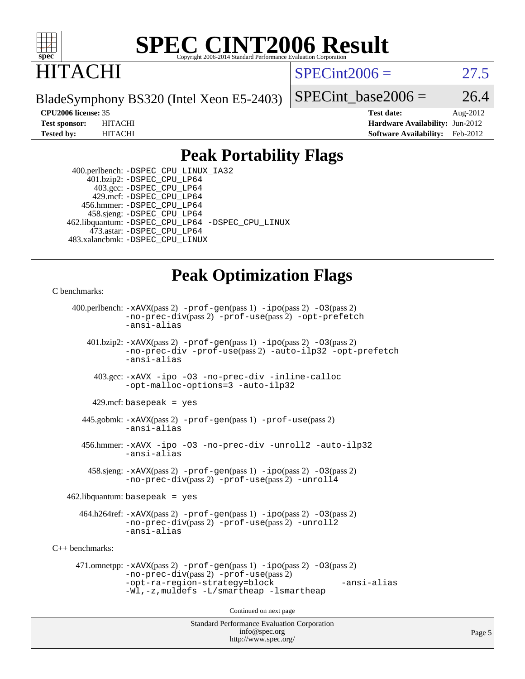

## ITACHI

 $SPECint2006 = 27.5$  $SPECint2006 = 27.5$ 

BladeSymphony BS320 (Intel Xeon E5-2403)

SPECint base2006 =  $26.4$ 

**[CPU2006 license:](http://www.spec.org/auto/cpu2006/Docs/result-fields.html#CPU2006license)** 35 **[Test date:](http://www.spec.org/auto/cpu2006/Docs/result-fields.html#Testdate)** Aug-2012 **[Test sponsor:](http://www.spec.org/auto/cpu2006/Docs/result-fields.html#Testsponsor)** HITACHI **[Hardware Availability:](http://www.spec.org/auto/cpu2006/Docs/result-fields.html#HardwareAvailability)** Jun-2012 **[Tested by:](http://www.spec.org/auto/cpu2006/Docs/result-fields.html#Testedby)** HITACHI **[Software Availability:](http://www.spec.org/auto/cpu2006/Docs/result-fields.html#SoftwareAvailability)** Feb-2012

#### **[Peak Portability Flags](http://www.spec.org/auto/cpu2006/Docs/result-fields.html#PeakPortabilityFlags)**

 400.perlbench: [-DSPEC\\_CPU\\_LINUX\\_IA32](http://www.spec.org/cpu2006/results/res2012q3/cpu2006-20120813-24211.flags.html#b400.perlbench_peakCPORTABILITY_DSPEC_CPU_LINUX_IA32) 401.bzip2: [-DSPEC\\_CPU\\_LP64](http://www.spec.org/cpu2006/results/res2012q3/cpu2006-20120813-24211.flags.html#suite_peakPORTABILITY401_bzip2_DSPEC_CPU_LP64) 403.gcc: [-DSPEC\\_CPU\\_LP64](http://www.spec.org/cpu2006/results/res2012q3/cpu2006-20120813-24211.flags.html#suite_peakPORTABILITY403_gcc_DSPEC_CPU_LP64) 429.mcf: [-DSPEC\\_CPU\\_LP64](http://www.spec.org/cpu2006/results/res2012q3/cpu2006-20120813-24211.flags.html#suite_peakPORTABILITY429_mcf_DSPEC_CPU_LP64) 456.hmmer: [-DSPEC\\_CPU\\_LP64](http://www.spec.org/cpu2006/results/res2012q3/cpu2006-20120813-24211.flags.html#suite_peakPORTABILITY456_hmmer_DSPEC_CPU_LP64) 458.sjeng: [-DSPEC\\_CPU\\_LP64](http://www.spec.org/cpu2006/results/res2012q3/cpu2006-20120813-24211.flags.html#suite_peakPORTABILITY458_sjeng_DSPEC_CPU_LP64) 462.libquantum: [-DSPEC\\_CPU\\_LP64](http://www.spec.org/cpu2006/results/res2012q3/cpu2006-20120813-24211.flags.html#suite_peakPORTABILITY462_libquantum_DSPEC_CPU_LP64) [-DSPEC\\_CPU\\_LINUX](http://www.spec.org/cpu2006/results/res2012q3/cpu2006-20120813-24211.flags.html#b462.libquantum_peakCPORTABILITY_DSPEC_CPU_LINUX) 473.astar: [-DSPEC\\_CPU\\_LP64](http://www.spec.org/cpu2006/results/res2012q3/cpu2006-20120813-24211.flags.html#suite_peakPORTABILITY473_astar_DSPEC_CPU_LP64) 483.xalancbmk: [-DSPEC\\_CPU\\_LINUX](http://www.spec.org/cpu2006/results/res2012q3/cpu2006-20120813-24211.flags.html#b483.xalancbmk_peakCXXPORTABILITY_DSPEC_CPU_LINUX)

### **[Peak Optimization Flags](http://www.spec.org/auto/cpu2006/Docs/result-fields.html#PeakOptimizationFlags)**

```
C benchmarks:
```

```
Standard Performance Evaluation Corporation
                                          info@spec.org
     400.perlbench: -xAVX(pass 2) -prof-gen(pass 1) -ipo(pass 2) -O3(pass 2)
                -no-prec-div(pass 2) -prof-use(pass 2) -opt-prefetch
                -ansi-alias
        401.bzip2: -xAVX(pass 2) -prof-gen(pass 1) -ipo(pass 2) -O3(pass 2)
                -no-prec-div -prof-use(pass 2) -auto-ilp32 -opt-prefetch
                -ansi-alias
          403.gcc: -xAVX -ipo -O3 -no-prec-div -inline-calloc
                -opt-malloc-options=3 -auto-ilp32
         429.mcf: basepeak = yes
       445.gobmk: -xAVX(pass 2) -prof-gen(pass 1) -prof-use(pass 2)
                -ansi-alias
       456.hmmer: -xAVX -ipo -O3 -no-prec-div -unroll2 -auto-ilp32
                -ansi-alias
         458.sjeng: -xAVX(pass 2) -prof-gen(pass 1) -ipo(pass 2) -O3(pass 2)
                -no-prec-div(pass 2) -prof-use(pass 2) -unroll4
    462.libquantum: basepeak = yes
       464.h264ref: -xAVX(pass 2) -prof-gen(pass 1) -ipo(pass 2) -O3(pass 2)
                -no-prec-div(pass 2) -prof-use(pass 2) -unroll2
                -ansi-alias
C++ benchmarks: 
      471.omnetpp: -xAVX(pass 2) -prof-gen(pass 1) -ipo(pass 2) -O3(pass 2)
                -no-prec-div(pass 2) -prof-use(pass 2)
                -opt-ra-region-strategy=block -ansi-alias
                -Wl,-z,muldefs -L/smartheap -lsmartheap
                                        Continued on next page
```
<http://www.spec.org/>

Page 5